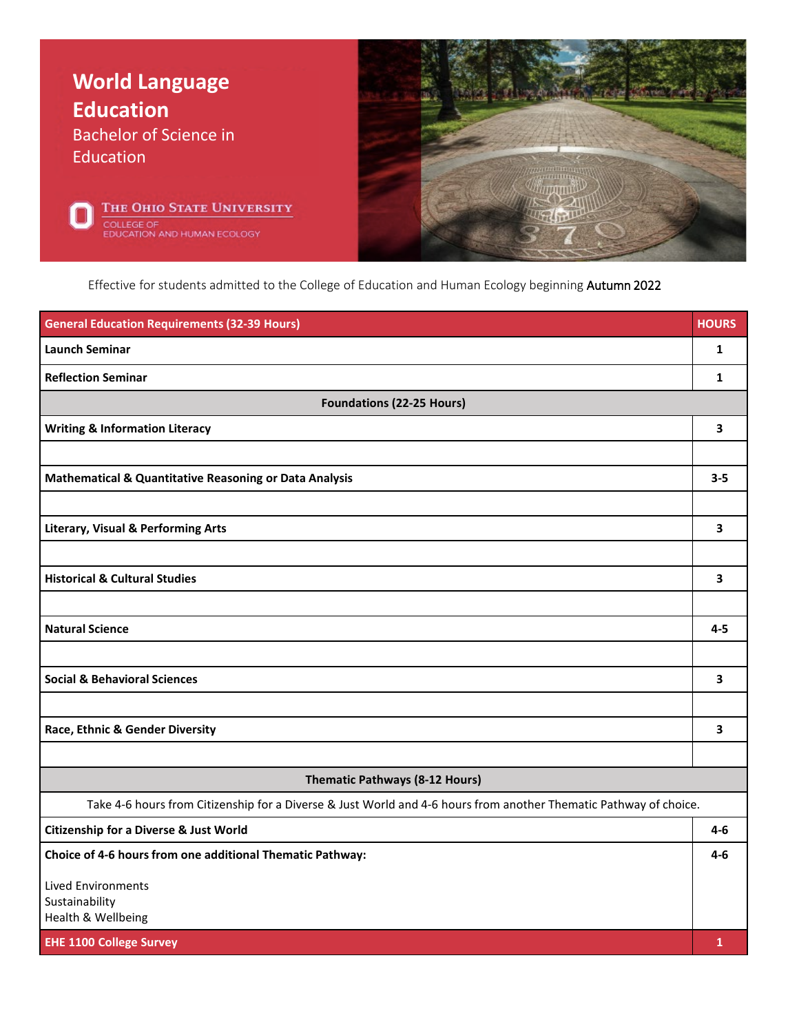

Effective for students admitted to the College of Education and Human Ecology beginning Autumn 2022

| <b>General Education Requirements (32-39 Hours)</b>                                                               | <b>HOURS</b> |
|-------------------------------------------------------------------------------------------------------------------|--------------|
| <b>Launch Seminar</b>                                                                                             | $\mathbf{1}$ |
| <b>Reflection Seminar</b>                                                                                         | 1            |
| <b>Foundations (22-25 Hours)</b>                                                                                  |              |
| <b>Writing &amp; Information Literacy</b>                                                                         | 3            |
|                                                                                                                   |              |
| <b>Mathematical &amp; Quantitative Reasoning or Data Analysis</b>                                                 | $3 - 5$      |
|                                                                                                                   |              |
| <b>Literary, Visual &amp; Performing Arts</b>                                                                     | 3            |
|                                                                                                                   |              |
| <b>Historical &amp; Cultural Studies</b>                                                                          | 3            |
|                                                                                                                   |              |
| <b>Natural Science</b>                                                                                            | $4 - 5$      |
|                                                                                                                   |              |
| <b>Social &amp; Behavioral Sciences</b>                                                                           | 3            |
|                                                                                                                   |              |
| Race, Ethnic & Gender Diversity                                                                                   | 3            |
|                                                                                                                   |              |
| <b>Thematic Pathways (8-12 Hours)</b>                                                                             |              |
| Take 4-6 hours from Citizenship for a Diverse & Just World and 4-6 hours from another Thematic Pathway of choice. |              |
| <b>Citizenship for a Diverse &amp; Just World</b>                                                                 | $4-6$        |
| Choice of 4-6 hours from one additional Thematic Pathway:                                                         | $4 - 6$      |
| <b>Lived Environments</b>                                                                                         |              |
| Sustainability<br>Health & Wellbeing                                                                              |              |
| <b>EHE 1100 College Survey</b>                                                                                    | $\mathbf{1}$ |